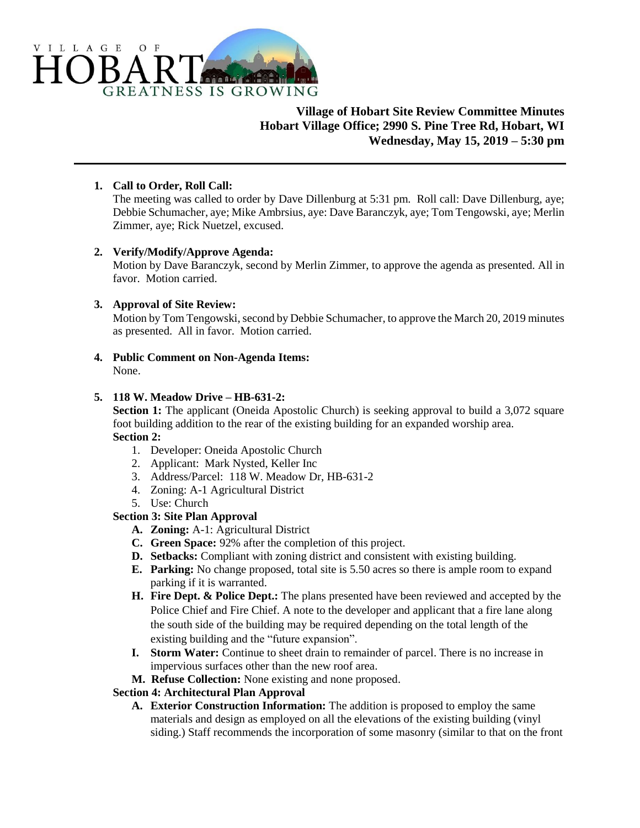

# **Village of Hobart Site Review Committee Minutes Hobart Village Office; 2990 S. Pine Tree Rd, Hobart, WI Wednesday, May 15, 2019 – 5:30 pm**

## **1. Call to Order, Roll Call:**

The meeting was called to order by Dave Dillenburg at 5:31 pm. Roll call: Dave Dillenburg, aye; Debbie Schumacher, aye; Mike Ambrsius, aye: Dave Baranczyk, aye; Tom Tengowski, aye; Merlin Zimmer, aye; Rick Nuetzel, excused.

## **2. Verify/Modify/Approve Agenda:**

Motion by Dave Baranczyk, second by Merlin Zimmer, to approve the agenda as presented. All in favor. Motion carried.

## **3. Approval of Site Review:**

Motion by Tom Tengowski, second by Debbie Schumacher, to approve the March 20, 2019 minutes as presented. All in favor. Motion carried.

**4. Public Comment on Non-Agenda Items:** None.

## **5. 118 W. Meadow Drive – HB-631-2:**

**Section 1:** The applicant (Oneida Apostolic Church) is seeking approval to build a 3,072 square foot building addition to the rear of the existing building for an expanded worship area. **Section 2:**

- 1. Developer: Oneida Apostolic Church
- 2. Applicant: Mark Nysted, Keller Inc
- 3. Address/Parcel: 118 W. Meadow Dr, HB-631-2
- 4. Zoning: A-1 Agricultural District
- 5. Use: Church

## **Section 3: Site Plan Approval**

- **A. Zoning:** A-1: Agricultural District
- **C. Green Space:** 92% after the completion of this project.
- **D. Setbacks:** Compliant with zoning district and consistent with existing building.
- **E. Parking:** No change proposed, total site is 5.50 acres so there is ample room to expand parking if it is warranted.
- **H. Fire Dept. & Police Dept.:** The plans presented have been reviewed and accepted by the Police Chief and Fire Chief. A note to the developer and applicant that a fire lane along the south side of the building may be required depending on the total length of the existing building and the "future expansion".
- **I. Storm Water:** Continue to sheet drain to remainder of parcel. There is no increase in impervious surfaces other than the new roof area.
- **M. Refuse Collection:** None existing and none proposed.

## **Section 4: Architectural Plan Approval**

**A. Exterior Construction Information:** The addition is proposed to employ the same materials and design as employed on all the elevations of the existing building (vinyl siding.) Staff recommends the incorporation of some masonry (similar to that on the front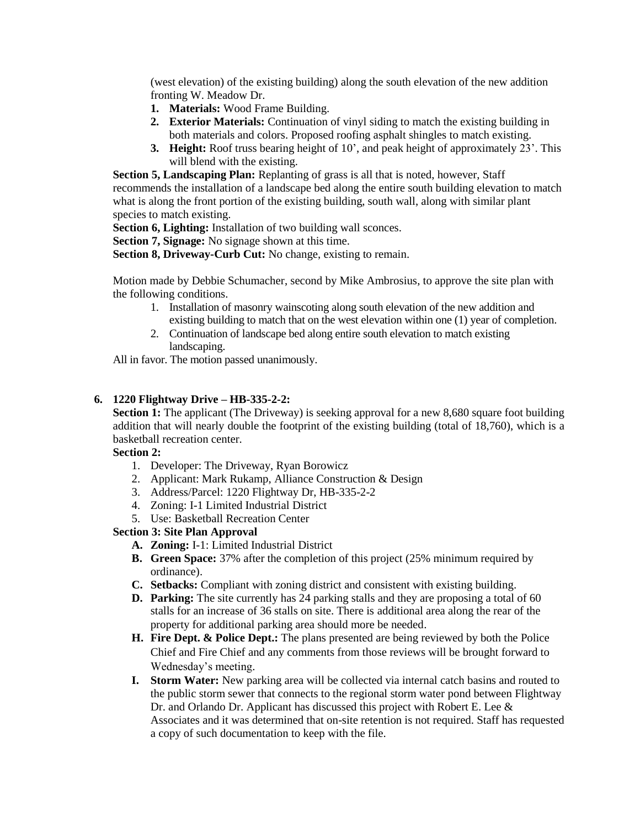(west elevation) of the existing building) along the south elevation of the new addition fronting W. Meadow Dr.

- **1. Materials:** Wood Frame Building.
- **2. Exterior Materials:** Continuation of vinyl siding to match the existing building in both materials and colors. Proposed roofing asphalt shingles to match existing.
- **3. Height:** Roof truss bearing height of 10', and peak height of approximately 23'. This will blend with the existing.

**Section 5, Landscaping Plan:** Replanting of grass is all that is noted, however, Staff recommends the installation of a landscape bed along the entire south building elevation to match what is along the front portion of the existing building, south wall, along with similar plant species to match existing.

**Section 6, Lighting:** Installation of two building wall sconces.

**Section 7, Signage:** No signage shown at this time.

**Section 8, Driveway-Curb Cut:** No change, existing to remain.

Motion made by Debbie Schumacher, second by Mike Ambrosius, to approve the site plan with the following conditions.

- 1. Installation of masonry wainscoting along south elevation of the new addition and existing building to match that on the west elevation within one (1) year of completion.
- 2. Continuation of landscape bed along entire south elevation to match existing landscaping.

All in favor. The motion passed unanimously.

#### **6. 1220 Flightway Drive – HB-335-2-2:**

**Section 1:** The applicant (The Driveway) is seeking approval for a new 8,680 square foot building addition that will nearly double the footprint of the existing building (total of 18,760), which is a basketball recreation center.

#### **Section 2:**

- 1. Developer: The Driveway, Ryan Borowicz
- 2. Applicant: Mark Rukamp, Alliance Construction & Design
- 3. Address/Parcel: 1220 Flightway Dr, HB-335-2-2
- 4. Zoning: I-1 Limited Industrial District
- 5. Use: Basketball Recreation Center

## **Section 3: Site Plan Approval**

- **A. Zoning:** I-1: Limited Industrial District
- **B. Green Space:** 37% after the completion of this project (25% minimum required by ordinance).
- **C. Setbacks:** Compliant with zoning district and consistent with existing building.
- **D. Parking:** The site currently has 24 parking stalls and they are proposing a total of 60 stalls for an increase of 36 stalls on site. There is additional area along the rear of the property for additional parking area should more be needed.
- **H. Fire Dept. & Police Dept.:** The plans presented are being reviewed by both the Police Chief and Fire Chief and any comments from those reviews will be brought forward to Wednesday's meeting.
- **I. Storm Water:** New parking area will be collected via internal catch basins and routed to the public storm sewer that connects to the regional storm water pond between Flightway Dr. and Orlando Dr. Applicant has discussed this project with Robert E. Lee & Associates and it was determined that on-site retention is not required. Staff has requested a copy of such documentation to keep with the file.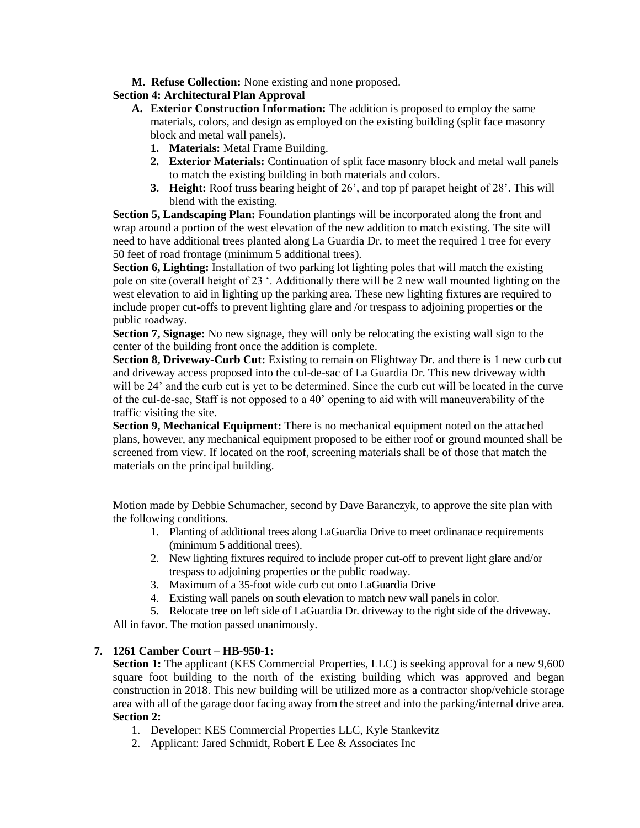**M. Refuse Collection:** None existing and none proposed.

## **Section 4: Architectural Plan Approval**

- **A. Exterior Construction Information:** The addition is proposed to employ the same materials, colors, and design as employed on the existing building (split face masonry block and metal wall panels).
	- **1. Materials:** Metal Frame Building.
	- **2. Exterior Materials:** Continuation of split face masonry block and metal wall panels to match the existing building in both materials and colors.
	- **3. Height:** Roof truss bearing height of 26', and top pf parapet height of 28'. This will blend with the existing.

**Section 5, Landscaping Plan:** Foundation plantings will be incorporated along the front and wrap around a portion of the west elevation of the new addition to match existing. The site will need to have additional trees planted along La Guardia Dr. to meet the required 1 tree for every 50 feet of road frontage (minimum 5 additional trees).

**Section 6, Lighting:** Installation of two parking lot lighting poles that will match the existing pole on site (overall height of 23 '. Additionally there will be 2 new wall mounted lighting on the west elevation to aid in lighting up the parking area. These new lighting fixtures are required to include proper cut-offs to prevent lighting glare and /or trespass to adjoining properties or the public roadway.

**Section 7, Signage:** No new signage, they will only be relocating the existing wall sign to the center of the building front once the addition is complete.

**Section 8, Driveway-Curb Cut:** Existing to remain on Flightway Dr. and there is 1 new curb cut and driveway access proposed into the cul-de-sac of La Guardia Dr. This new driveway width will be 24' and the curb cut is yet to be determined. Since the curb cut will be located in the curve of the cul-de-sac, Staff is not opposed to a 40' opening to aid with will maneuverability of the traffic visiting the site.

**Section 9, Mechanical Equipment:** There is no mechanical equipment noted on the attached plans, however, any mechanical equipment proposed to be either roof or ground mounted shall be screened from view. If located on the roof, screening materials shall be of those that match the materials on the principal building.

Motion made by Debbie Schumacher, second by Dave Baranczyk, to approve the site plan with the following conditions.

- 1. Planting of additional trees along LaGuardia Drive to meet ordinanace requirements (minimum 5 additional trees).
- 2. New lighting fixtures required to include proper cut-off to prevent light glare and/or trespass to adjoining properties or the public roadway.
- 3. Maximum of a 35-foot wide curb cut onto LaGuardia Drive
- 4. Existing wall panels on south elevation to match new wall panels in color.
- 5. Relocate tree on left side of LaGuardia Dr. driveway to the right side of the driveway.

All in favor. The motion passed unanimously.

## **7. 1261 Camber Court – HB-950-1:**

**Section 1:** The applicant (KES Commercial Properties, LLC) is seeking approval for a new 9,600 square foot building to the north of the existing building which was approved and began construction in 2018. This new building will be utilized more as a contractor shop/vehicle storage area with all of the garage door facing away from the street and into the parking/internal drive area. **Section 2:**

- 1. Developer: KES Commercial Properties LLC, Kyle Stankevitz
- 2. Applicant: Jared Schmidt, Robert E Lee & Associates Inc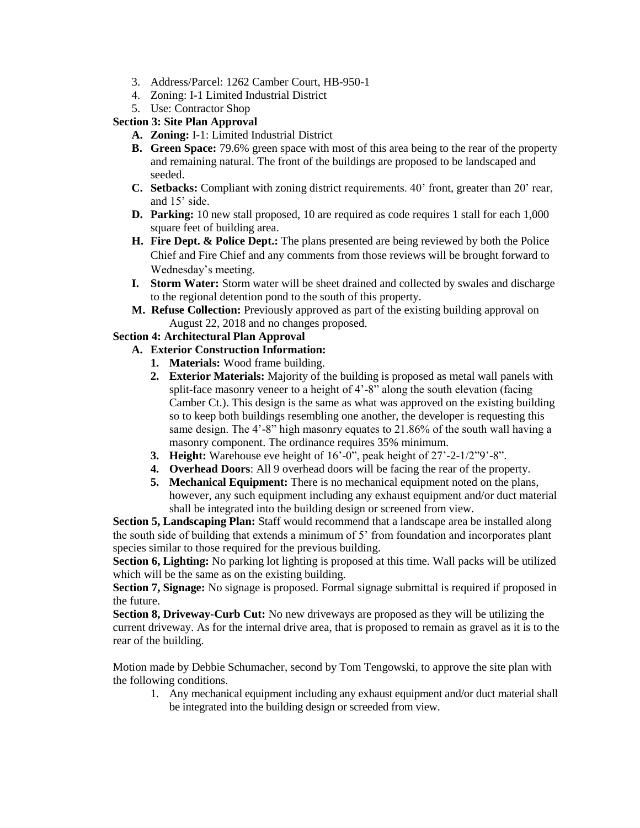- 3. Address/Parcel: 1262 Camber Court, HB-950-1
- 4. Zoning: I-1 Limited Industrial District
- 5. Use: Contractor Shop
- **Section 3: Site Plan Approval** 
	- **A. Zoning:** I-1: Limited Industrial District
	- **B. Green Space:** 79.6% green space with most of this area being to the rear of the property and remaining natural. The front of the buildings are proposed to be landscaped and seeded.
	- **C. Setbacks:** Compliant with zoning district requirements. 40' front, greater than 20' rear, and 15' side.
	- **D. Parking:** 10 new stall proposed, 10 are required as code requires 1 stall for each 1,000 square feet of building area.
	- **H. Fire Dept. & Police Dept.:** The plans presented are being reviewed by both the Police Chief and Fire Chief and any comments from those reviews will be brought forward to Wednesday's meeting.
	- **I. Storm Water:** Storm water will be sheet drained and collected by swales and discharge to the regional detention pond to the south of this property.
	- **M. Refuse Collection:** Previously approved as part of the existing building approval on August 22, 2018 and no changes proposed.

# **Section 4: Architectural Plan Approval**

# **A. Exterior Construction Information:**

- **1. Materials:** Wood frame building.
- **2. Exterior Materials:** Majority of the building is proposed as metal wall panels with split-face masonry veneer to a height of 4'-8" along the south elevation (facing Camber Ct.). This design is the same as what was approved on the existing building so to keep both buildings resembling one another, the developer is requesting this same design. The 4'-8" high masonry equates to 21.86% of the south wall having a masonry component. The ordinance requires 35% minimum.
- **3. Height:** Warehouse eve height of 16'-0", peak height of 27'-2-1/2"9'-8".
- **4. Overhead Doors**: All 9 overhead doors will be facing the rear of the property.
- **5. Mechanical Equipment:** There is no mechanical equipment noted on the plans, however, any such equipment including any exhaust equipment and/or duct material shall be integrated into the building design or screened from view.

**Section 5, Landscaping Plan:** Staff would recommend that a landscape area be installed along the south side of building that extends a minimum of 5' from foundation and incorporates plant species similar to those required for the previous building.

**Section 6, Lighting:** No parking lot lighting is proposed at this time. Wall packs will be utilized which will be the same as on the existing building.

**Section 7, Signage:** No signage is proposed. Formal signage submittal is required if proposed in the future.

**Section 8, Driveway-Curb Cut:** No new driveways are proposed as they will be utilizing the current driveway. As for the internal drive area, that is proposed to remain as gravel as it is to the rear of the building.

Motion made by Debbie Schumacher, second by Tom Tengowski, to approve the site plan with the following conditions.

1. Any mechanical equipment including any exhaust equipment and/or duct material shall be integrated into the building design or screeded from view.